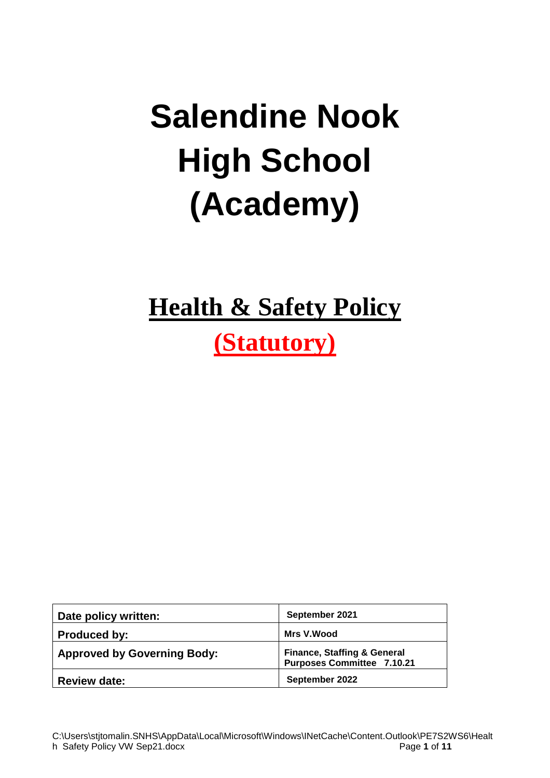# **Salendine Nook High School (Academy)**

## **Health & Safety Policy**

## **(Statutory)**

| Date policy written:               | September 2021                                                              |
|------------------------------------|-----------------------------------------------------------------------------|
| Produced by:                       | Mrs V.Wood                                                                  |
| <b>Approved by Governing Body:</b> | <b>Finance, Staffing &amp; General</b><br><b>Purposes Committee 7.10.21</b> |
| <b>Review date:</b>                | September 2022                                                              |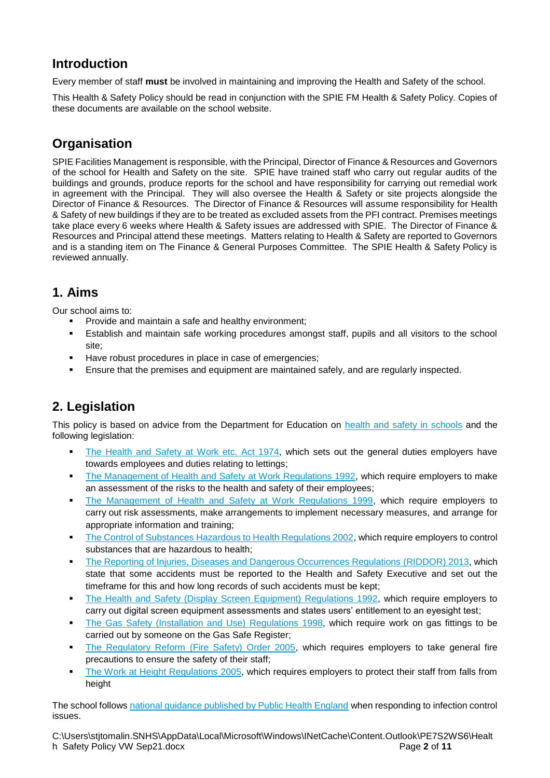## **Introduction**

Every member of staff **must** be involved in maintaining and improving the Health and Safety of the school.

This Health & Safety Policy should be read in conjunction with the SPIE FM Health & Safety Policy. Copies of these documents are available on the school website.

## **Organisation**

SPIE Facilities Management is responsible, with the Principal, Director of Finance & Resources and Governors of the school for Health and Safety on the site. SPIE have trained staff who carry out regular audits of the buildings and grounds, produce reports for the school and have responsibility for carrying out remedial work in agreement with the Principal. They will also oversee the Health & Safety or site projects alongside the Director of Finance & Resources. The Director of Finance & Resources will assume responsibility for Health & Safety of new buildings if they are to be treated as excluded assets from the PFI contract. Premises meetings take place every 6 weeks where Health & Safety issues are addressed with SPIE. The Director of Finance & Resources and Principal attend these meetings. Matters relating to Health & Safety are reported to Governors and is a standing item on The Finance & General Purposes Committee. The SPIE Health & Safety Policy is reviewed annually.

## **1. Aims**

Our school aims to:

- Provide and maintain a safe and healthy environment;
- **Establish and maintain safe working procedures amongst staff, pupils and all visitors to the school** site;
- Have robust procedures in place in case of emergencies;
- **Ensure that the premises and equipment are maintained safely, and are regularly inspected.**

## **2. Legislation**

This policy is based on advice from the Department for Education on [health and safety in schools](https://www.gov.uk/government/publications/health-and-safety-advice-for-schools) and the following legislation:

- [The Health and Safety at Work etc. Act 1974,](http://www.legislation.gov.uk/ukpga/1974/37) which sets out the general duties employers have towards employees and duties relating to lettings;
- **[The Management of Health and Safety at Work Regulations 1992,](http://www.legislation.gov.uk/uksi/1992/2051/regulation/3/made) which require employers to make** an assessment of the risks to the health and safety of their employees;
- **[The Management of Health and Safety at Work Regulations 1999,](http://www.legislation.gov.uk/uksi/1999/3242/contents/made) which require employers to** carry out risk assessments, make arrangements to implement necessary measures, and arrange for appropriate information and training;
- [The Control of Substances Hazardous to Health Regulations 2002,](http://www.legislation.gov.uk/uksi/2002/2677/contents/made) which require employers to control substances that are hazardous to health;
- **[The Reporting of Injuries, Diseases and Dangerous Occurrences Regulations](http://www.legislation.gov.uk/uksi/2013/1471/schedule/1/paragraph/1/made) (RIDDOR) 2013, which** state that some accidents must be reported to the Health and Safety Executive and set out the timeframe for this and how long records of such accidents must be kept;
- **•** [The Health and Safety \(Display Screen Equipment\) Regulations 1992,](http://www.legislation.gov.uk/uksi/1992/2792/contents/made) which require employers to carry out digital screen equipment assessments and states users' entitlement to an eyesight test;
- **•** [The Gas Safety \(Installation and Use\) Regulations](http://www.legislation.gov.uk/uksi/1998/2451/regulation/4/made) 1998, which require work on gas fittings to be carried out by someone on the Gas Safe Register;
- **[The Regulatory Reform \(Fire Safety\) Order 2005,](http://www.legislation.gov.uk/uksi/2005/1541/part/2/made) which requires employers to take general fire** precautions to ensure the safety of their staff;
- [The Work at Height Regulations 2005,](http://www.legislation.gov.uk/uksi/2005/735/contents/made) which requires employers to protect their staff from falls from height

The school follows [national guidance published by Public Health England](https://www.gov.uk/government/publications/health-protection-in-schools-and-other-childcare-facilities/chapter-9-managing-specific-infectious-diseases) when responding to infection control issues.

C:\Users\stjtomalin.SNHS\AppData\Local\Microsoft\Windows\INetCache\Content.Outlook\PE7S2WS6\Healt h Safety Policy VW Sep21.docx Page **2** of **11**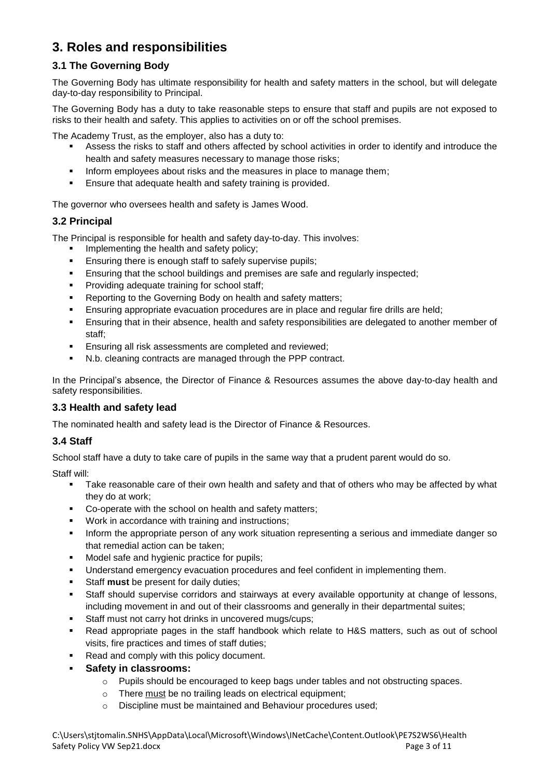## **3. Roles and responsibilities**

#### **3.1 The Governing Body**

The Governing Body has ultimate responsibility for health and safety matters in the school, but will delegate day-to-day responsibility to Principal.

The Governing Body has a duty to take reasonable steps to ensure that staff and pupils are not exposed to risks to their health and safety. This applies to activities on or off the school premises.

The Academy Trust, as the employer, also has a duty to:

- Assess the risks to staff and others affected by school activities in order to identify and introduce the health and safety measures necessary to manage those risks;
- **•** Inform employees about risks and the measures in place to manage them;
- **Ensure that adequate health and safety training is provided.**

The governor who oversees health and safety is James Wood.

#### **3.2 Principal**

The Principal is responsible for health and safety day-to-day. This involves:

- Implementing the health and safety policy;
- **Ensuring there is enough staff to safely supervise pupils;**
- **Ensuring that the school buildings and premises are safe and regularly inspected;**
- Providing adequate training for school staff;
- Reporting to the Governing Body on health and safety matters;
- **Ensuring appropriate evacuation procedures are in place and regular fire drills are held;**
- **Ensuring that in their absence, health and safety responsibilities are delegated to another member of** staff;
- **Ensuring all risk assessments are completed and reviewed;**
- N.b. cleaning contracts are managed through the PPP contract.

In the Principal's absence, the Director of Finance & Resources assumes the above day-to-day health and safety responsibilities.

#### **3.3 Health and safety lead**

The nominated health and safety lead is the Director of Finance & Resources.

#### **3.4 Staff**

School staff have a duty to take care of pupils in the same way that a prudent parent would do so.

Staff will:

- Take reasonable care of their own health and safety and that of others who may be affected by what they do at work;
- Co-operate with the school on health and safety matters;
- Work in accordance with training and instructions;
- **.** Inform the appropriate person of any work situation representing a serious and immediate danger so that remedial action can be taken;
- Model safe and hygienic practice for pupils;
- Understand emergency evacuation procedures and feel confident in implementing them.
- Staff **must** be present for daily duties;
- **EXEL Staff should supervise corridors and stairways at every available opportunity at change of lessons,** including movement in and out of their classrooms and generally in their departmental suites;
- Staff must not carry hot drinks in uncovered mugs/cups;
- Read appropriate pages in the staff handbook which relate to H&S matters, such as out of school visits, fire practices and times of staff duties;
- Read and comply with this policy document.
- **Safety in classrooms:** 
	- o Pupils should be encouraged to keep bags under tables and not obstructing spaces.
	- o There must be no trailing leads on electrical equipment;
	- o Discipline must be maintained and Behaviour procedures used;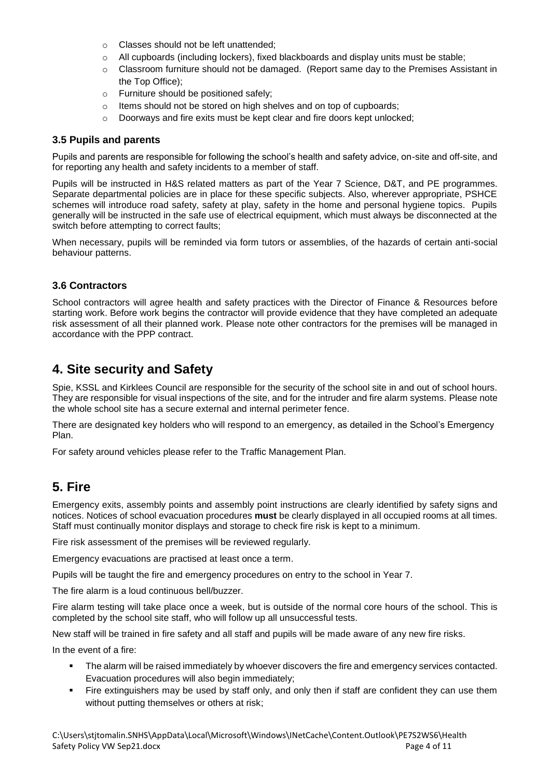- o Classes should not be left unattended;
- $\circ$  All cupboards (including lockers), fixed blackboards and display units must be stable;
- $\circ$  Classroom furniture should not be damaged. (Report same day to the Premises Assistant in the Top Office);
- o Furniture should be positioned safely;
- o Items should not be stored on high shelves and on top of cupboards;
- o Doorways and fire exits must be kept clear and fire doors kept unlocked;

#### **3.5 Pupils and parents**

Pupils and parents are responsible for following the school's health and safety advice, on-site and off-site, and for reporting any health and safety incidents to a member of staff.

Pupils will be instructed in H&S related matters as part of the Year 7 Science, D&T, and PE programmes. Separate departmental policies are in place for these specific subjects. Also, wherever appropriate, PSHCE schemes will introduce road safety, safety at play, safety in the home and personal hygiene topics. Pupils generally will be instructed in the safe use of electrical equipment, which must always be disconnected at the switch before attempting to correct faults;

When necessary, pupils will be reminded via form tutors or assemblies, of the hazards of certain anti-social behaviour patterns.

#### **3.6 Contractors**

School contractors will agree health and safety practices with the Director of Finance & Resources before starting work. Before work begins the contractor will provide evidence that they have completed an adequate risk assessment of all their planned work. Please note other contractors for the premises will be managed in accordance with the PPP contract.

## **4. Site security and Safety**

Spie, KSSL and Kirklees Council are responsible for the security of the school site in and out of school hours. They are responsible for visual inspections of the site, and for the intruder and fire alarm systems. Please note the whole school site has a secure external and internal perimeter fence.

There are designated key holders who will respond to an emergency, as detailed in the School's Emergency Plan.

For safety around vehicles please refer to the Traffic Management Plan.

## **5. Fire**

Emergency exits, assembly points and assembly point instructions are clearly identified by safety signs and notices. Notices of school evacuation procedures **must** be clearly displayed in all occupied rooms at all times. Staff must continually monitor displays and storage to check fire risk is kept to a minimum.

Fire risk assessment of the premises will be reviewed regularly.

Emergency evacuations are practised at least once a term.

Pupils will be taught the fire and emergency procedures on entry to the school in Year 7.

The fire alarm is a loud continuous bell/buzzer.

Fire alarm testing will take place once a week, but is outside of the normal core hours of the school. This is completed by the school site staff, who will follow up all unsuccessful tests.

New staff will be trained in fire safety and all staff and pupils will be made aware of any new fire risks.

In the event of a fire:

- **•** The alarm will be raised immediately by whoever discovers the fire and emergency services contacted. Evacuation procedures will also begin immediately;
- Fire extinguishers may be used by staff only, and only then if staff are confident they can use them without putting themselves or others at risk;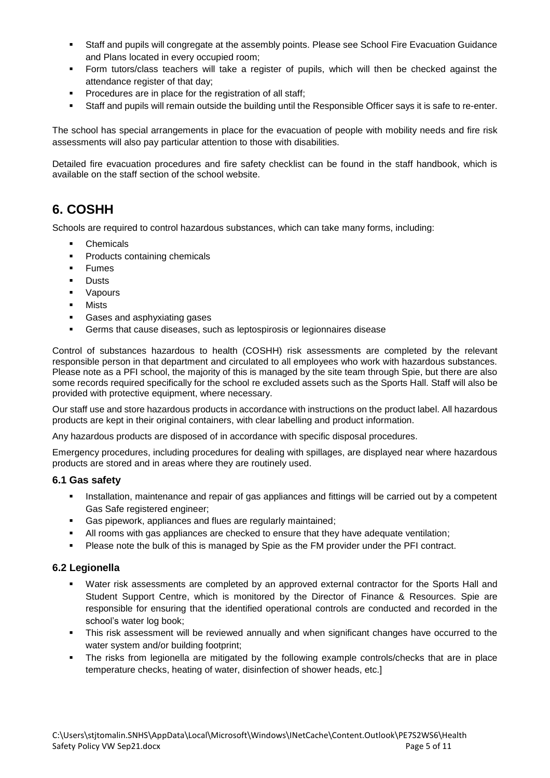- Staff and pupils will congregate at the assembly points. Please see School Fire Evacuation Guidance and Plans located in every occupied room;
- Form tutors/class teachers will take a register of pupils, which will then be checked against the attendance register of that day;
- Procedures are in place for the registration of all staff;
- Staff and pupils will remain outside the building until the Responsible Officer says it is safe to re-enter.

The school has special arrangements in place for the evacuation of people with mobility needs and fire risk assessments will also pay particular attention to those with disabilities.

Detailed fire evacuation procedures and fire safety checklist can be found in the staff handbook, which is available on the staff section of the school website.

## **6. COSHH**

Schools are required to control hazardous substances, which can take many forms, including:

- **Chemicals**
- Products containing chemicals
- Fumes
- **Dusts**
- Vapours
- Mists
- Gases and asphyxiating gases
- Germs that cause diseases, such as leptospirosis or legionnaires disease

Control of substances hazardous to health (COSHH) risk assessments are completed by the relevant responsible person in that department and circulated to all employees who work with hazardous substances. Please note as a PFI school, the majority of this is managed by the site team through Spie, but there are also some records required specifically for the school re excluded assets such as the Sports Hall. Staff will also be provided with protective equipment, where necessary.

Our staff use and store hazardous products in accordance with instructions on the product label. All hazardous products are kept in their original containers, with clear labelling and product information.

Any hazardous products are disposed of in accordance with specific disposal procedures.

Emergency procedures, including procedures for dealing with spillages, are displayed near where hazardous products are stored and in areas where they are routinely used.

#### **6.1 Gas safety**

- **•** Installation, maintenance and repair of gas appliances and fittings will be carried out by a competent Gas Safe registered engineer;
- Gas pipework, appliances and flues are regularly maintained;
- All rooms with gas appliances are checked to ensure that they have adequate ventilation;
- Please note the bulk of this is managed by Spie as the FM provider under the PFI contract.

#### **6.2 Legionella**

- Water risk assessments are completed by an approved external contractor for the Sports Hall and Student Support Centre, which is monitored by the Director of Finance & Resources. Spie are responsible for ensuring that the identified operational controls are conducted and recorded in the school's water log book;
- This risk assessment will be reviewed annually and when significant changes have occurred to the water system and/or building footprint;
- The risks from legionella are mitigated by the following example controls/checks that are in place temperature checks, heating of water, disinfection of shower heads, etc.]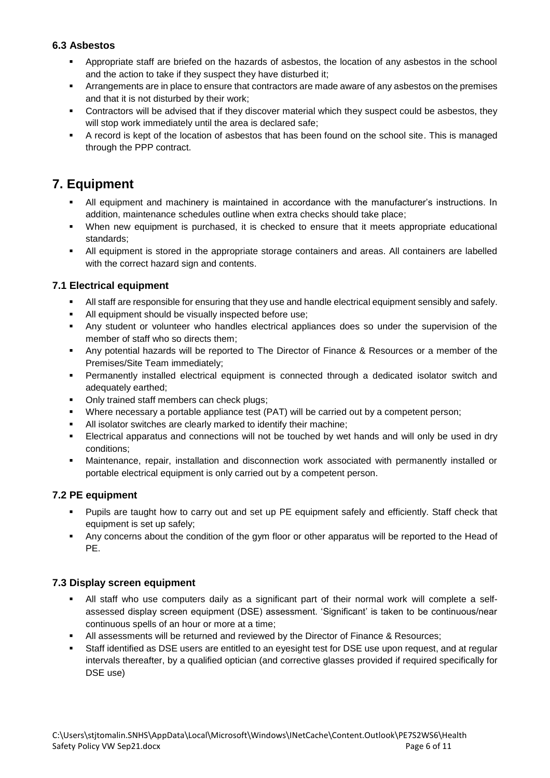#### **6.3 Asbestos**

- Appropriate staff are briefed on the hazards of asbestos, the location of any asbestos in the school and the action to take if they suspect they have disturbed it;
- **EXTERN Arrangements are in place to ensure that contractors are made aware of any asbestos on the premises** and that it is not disturbed by their work;
- **•** Contractors will be advised that if they discover material which they suspect could be asbestos, they will stop work immediately until the area is declared safe;
- A record is kept of the location of asbestos that has been found on the school site. This is managed through the PPP contract.

## **7. Equipment**

- All equipment and machinery is maintained in accordance with the manufacturer's instructions. In addition, maintenance schedules outline when extra checks should take place;
- When new equipment is purchased, it is checked to ensure that it meets appropriate educational standards;
- All equipment is stored in the appropriate storage containers and areas. All containers are labelled with the correct hazard sign and contents.

#### **7.1 Electrical equipment**

- All staff are responsible for ensuring that they use and handle electrical equipment sensibly and safely.
- All equipment should be visually inspected before use;
- Any student or volunteer who handles electrical appliances does so under the supervision of the member of staff who so directs them;
- Any potential hazards will be reported to The Director of Finance & Resources or a member of the Premises/Site Team immediately;
- Permanently installed electrical equipment is connected through a dedicated isolator switch and adequately earthed;
- Only trained staff members can check plugs;
- Where necessary a portable appliance test (PAT) will be carried out by a competent person;
- All isolator switches are clearly marked to identify their machine;
- **Electrical apparatus and connections will not be touched by wet hands and will only be used in dry** conditions;
- Maintenance, repair, installation and disconnection work associated with permanently installed or portable electrical equipment is only carried out by a competent person.

#### **7.2 PE equipment**

- Pupils are taught how to carry out and set up PE equipment safely and efficiently. Staff check that equipment is set up safely;
- Any concerns about the condition of the gym floor or other apparatus will be reported to the Head of PE.

#### **7.3 Display screen equipment**

- All staff who use computers daily as a significant part of their normal work will complete a selfassessed display screen equipment (DSE) assessment. 'Significant' is taken to be continuous/near continuous spells of an hour or more at a time;
- All assessments will be returned and reviewed by the Director of Finance & Resources;
- Staff identified as DSE users are entitled to an eyesight test for DSE use upon request, and at regular intervals thereafter, by a qualified optician (and corrective glasses provided if required specifically for DSE use)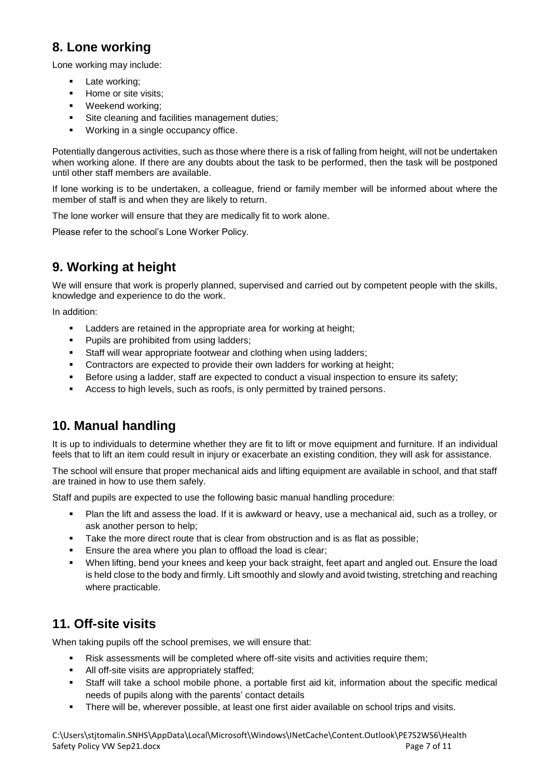## **8. Lone working**

Lone working may include:

- **■** Late working;
- Home or site visits;
- Weekend working;
- Site cleaning and facilities management duties;
- Working in a single occupancy office.

Potentially dangerous activities, such as those where there is a risk of falling from height, will not be undertaken when working alone. If there are any doubts about the task to be performed, then the task will be postponed until other staff members are available.

If lone working is to be undertaken, a colleague, friend or family member will be informed about where the member of staff is and when they are likely to return.

The lone worker will ensure that they are medically fit to work alone.

Please refer to the school's Lone Worker Policy.

## **9. Working at height**

We will ensure that work is properly planned, supervised and carried out by competent people with the skills, knowledge and experience to do the work.

In addition:

- **EXECT** Ladders are retained in the appropriate area for working at height;
- Pupils are prohibited from using ladders;
- Staff will wear appropriate footwear and clothing when using ladders;
- Contractors are expected to provide their own ladders for working at height;
- **EXELGENT EXECTED EXECTED A LARGE IS A LARGE EXPLORED FOR A LARGE EXECTED** Safety; **B** B B B and to ensure its safety;
- Access to high levels, such as roofs, is only permitted by trained persons.

## **10. Manual handling**

It is up to individuals to determine whether they are fit to lift or move equipment and furniture. If an individual feels that to lift an item could result in injury or exacerbate an existing condition, they will ask for assistance.

The school will ensure that proper mechanical aids and lifting equipment are available in school, and that staff are trained in how to use them safely.

Staff and pupils are expected to use the following basic manual handling procedure:

- Plan the lift and assess the load. If it is awkward or heavy, use a mechanical aid, such as a trolley, or ask another person to help;
- **•** Take the more direct route that is clear from obstruction and is as flat as possible;
- Ensure the area where you plan to offload the load is clear;
- When lifting, bend your knees and keep your back straight, feet apart and angled out. Ensure the load is held close to the body and firmly. Lift smoothly and slowly and avoid twisting, stretching and reaching where practicable.

## **11. Off-site visits**

When taking pupils off the school premises, we will ensure that:

- Risk assessments will be completed where off-site visits and activities require them;
- All off-site visits are appropriately staffed;
- Staff will take a school mobile phone, a portable first aid kit, information about the specific medical needs of pupils along with the parents' contact details
- **•** There will be, wherever possible, at least one first aider available on school trips and visits.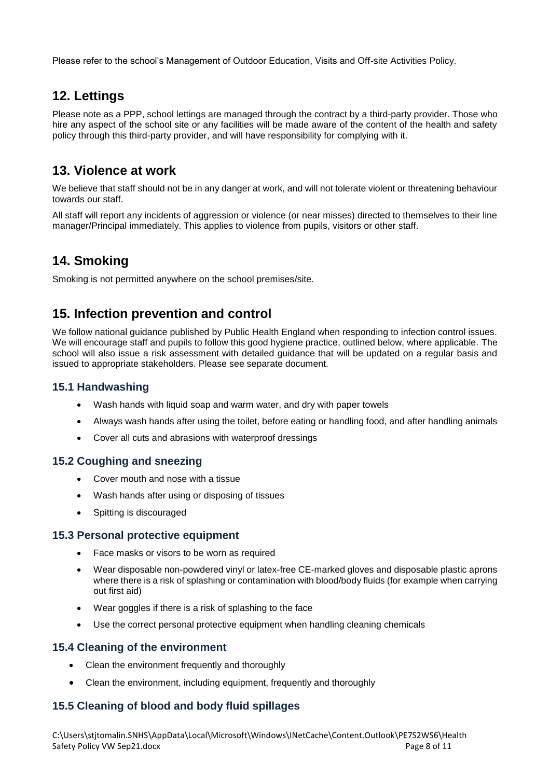Please refer to the school's Management of Outdoor Education, Visits and Off-site Activities Policy.

## **12. Lettings**

Please note as a PPP, school lettings are managed through the contract by a third-party provider. Those who hire any aspect of the school site or any facilities will be made aware of the content of the health and safety policy through this third-party provider, and will have responsibility for complying with it.

## **13. Violence at work**

We believe that staff should not be in any danger at work, and will not tolerate violent or threatening behaviour towards our staff.

All staff will report any incidents of aggression or violence (or near misses) directed to themselves to their line manager/Principal immediately. This applies to violence from pupils, visitors or other staff.

## **14. Smoking**

Smoking is not permitted anywhere on the school premises/site.

## **15. Infection prevention and control**

We follow national guidance published by Public Health England when responding to infection control issues. We will encourage staff and pupils to follow this good hygiene practice, outlined below, where applicable. The school will also issue a risk assessment with detailed guidance that will be updated on a regular basis and issued to appropriate stakeholders. Please see separate document.

#### **15.1 Handwashing**

- Wash hands with liquid soap and warm water, and dry with paper towels
- Always wash hands after using the toilet, before eating or handling food, and after handling animals
- Cover all cuts and abrasions with waterproof dressings

### **15.2 Coughing and sneezing**

- Cover mouth and nose with a tissue
- Wash hands after using or disposing of tissues
- Spitting is discouraged

#### **15.3 Personal protective equipment**

- Face masks or visors to be worn as required
- Wear disposable non-powdered vinyl or latex-free CE-marked gloves and disposable plastic aprons where there is a risk of splashing or contamination with blood/body fluids (for example when carrying out first aid)
- Wear goggles if there is a risk of splashing to the face
- Use the correct personal protective equipment when handling cleaning chemicals

#### **15.4 Cleaning of the environment**

- Clean the environment frequently and thoroughly
- Clean the environment, including equipment, frequently and thoroughly

### **15.5 Cleaning of blood and body fluid spillages**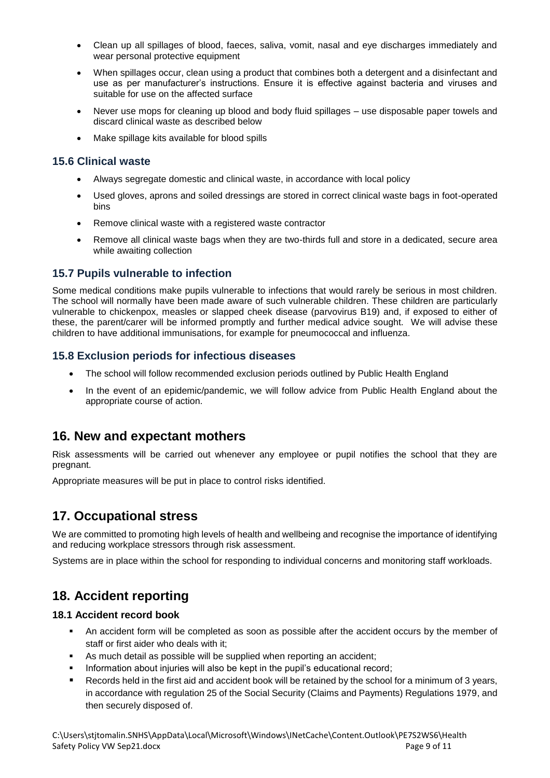- Clean up all spillages of blood, faeces, saliva, vomit, nasal and eye discharges immediately and wear personal protective equipment
- When spillages occur, clean using a product that combines both a detergent and a disinfectant and use as per manufacturer's instructions. Ensure it is effective against bacteria and viruses and suitable for use on the affected surface
- Never use mops for cleaning up blood and body fluid spillages use disposable paper towels and discard clinical waste as described below
- Make spillage kits available for blood spills

#### **15.6 Clinical waste**

- Always segregate domestic and clinical waste, in accordance with local policy
- Used gloves, aprons and soiled dressings are stored in correct clinical waste bags in foot-operated bins
- Remove clinical waste with a registered waste contractor
- Remove all clinical waste bags when they are two-thirds full and store in a dedicated, secure area while awaiting collection

#### **15.7 Pupils vulnerable to infection**

Some medical conditions make pupils vulnerable to infections that would rarely be serious in most children. The school will normally have been made aware of such vulnerable children. These children are particularly vulnerable to chickenpox, measles or slapped cheek disease (parvovirus B19) and, if exposed to either of these, the parent/carer will be informed promptly and further medical advice sought. We will advise these children to have additional immunisations, for example for pneumococcal and influenza.

#### **15.8 Exclusion periods for infectious diseases**

- The school will follow recommended exclusion periods outlined by Public Health England
- In the event of an epidemic/pandemic, we will follow advice from Public Health England about the appropriate course of action.

## **16. New and expectant mothers**

Risk assessments will be carried out whenever any employee or pupil notifies the school that they are pregnant.

Appropriate measures will be put in place to control risks identified.

## **17. Occupational stress**

We are committed to promoting high levels of health and wellbeing and recognise the importance of identifying and reducing workplace stressors through risk assessment.

Systems are in place within the school for responding to individual concerns and monitoring staff workloads.

## **18. Accident reporting**

#### **18.1 Accident record book**

- An accident form will be completed as soon as possible after the accident occurs by the member of staff or first aider who deals with it;
- As much detail as possible will be supplied when reporting an accident;
- Information about injuries will also be kept in the pupil's educational record;
- Records held in the first aid and accident book will be retained by the school for a minimum of 3 years, in accordance with regulation 25 of the Social Security (Claims and Payments) Regulations 1979, and then securely disposed of.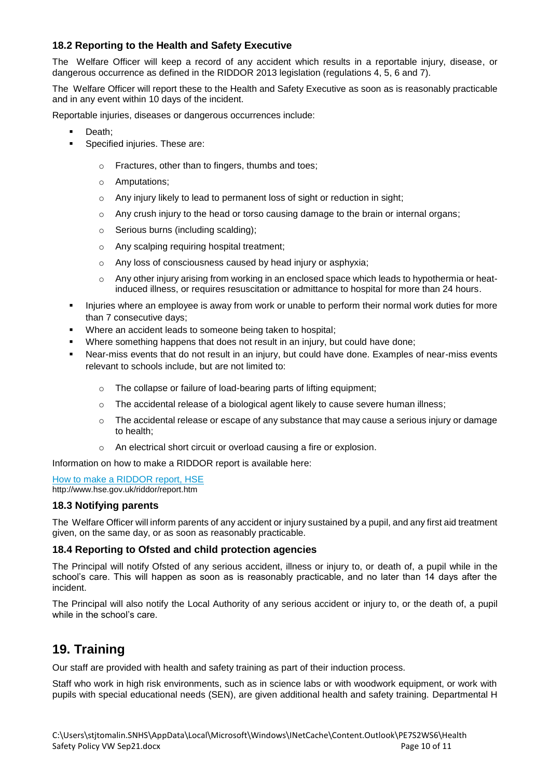#### **18.2 Reporting to the Health and Safety Executive**

The Welfare Officer will keep a record of any accident which results in a reportable injury, disease, or dangerous occurrence as defined in the RIDDOR 2013 legislation (regulations 4, 5, 6 and 7).

The Welfare Officer will report these to the Health and Safety Executive as soon as is reasonably practicable and in any event within 10 days of the incident.

Reportable injuries, diseases or dangerous occurrences include:

- Death:
- Specified injuries. These are:
	- o Fractures, other than to fingers, thumbs and toes;
	- o Amputations;
	- o Any injury likely to lead to permanent loss of sight or reduction in sight;
	- $\circ$  Any crush injury to the head or torso causing damage to the brain or internal organs;
	- o Serious burns (including scalding);
	- o Any scalping requiring hospital treatment;
	- o Any loss of consciousness caused by head injury or asphyxia;
	- $\circ$  Any other injury arising from working in an enclosed space which leads to hypothermia or heatinduced illness, or requires resuscitation or admittance to hospital for more than 24 hours.
- Injuries where an employee is away from work or unable to perform their normal work duties for more than 7 consecutive days;
- Where an accident leads to someone being taken to hospital;
- Where something happens that does not result in an injury, but could have done;
- Near-miss events that do not result in an injury, but could have done. Examples of near-miss events relevant to schools include, but are not limited to:
	- o The collapse or failure of load-bearing parts of lifting equipment;
	- $\circ$  The accidental release of a biological agent likely to cause severe human illness;
	- $\circ$  The accidental release or escape of any substance that may cause a serious injury or damage to health;
	- o An electrical short circuit or overload causing a fire or explosion.

Information on how to make a RIDDOR report is available here:

[How to make a RIDDOR report, HSE](http://www.hse.gov.uk/riddor/report.htm) http://www.hse.gov.uk/riddor/report.htm

#### **18.3 Notifying parents**

The Welfare Officer will inform parents of any accident or injury sustained by a pupil, and any first aid treatment given, on the same day, or as soon as reasonably practicable.

#### **18.4 Reporting to Ofsted and child protection agencies**

The Principal will notify Ofsted of any serious accident, illness or injury to, or death of, a pupil while in the school's care. This will happen as soon as is reasonably practicable, and no later than 14 days after the incident.

The Principal will also notify the Local Authority of any serious accident or injury to, or the death of, a pupil while in the school's care.

### **19. Training**

Our staff are provided with health and safety training as part of their induction process.

Staff who work in high risk environments, such as in science labs or with woodwork equipment, or work with pupils with special educational needs (SEN), are given additional health and safety training. Departmental H